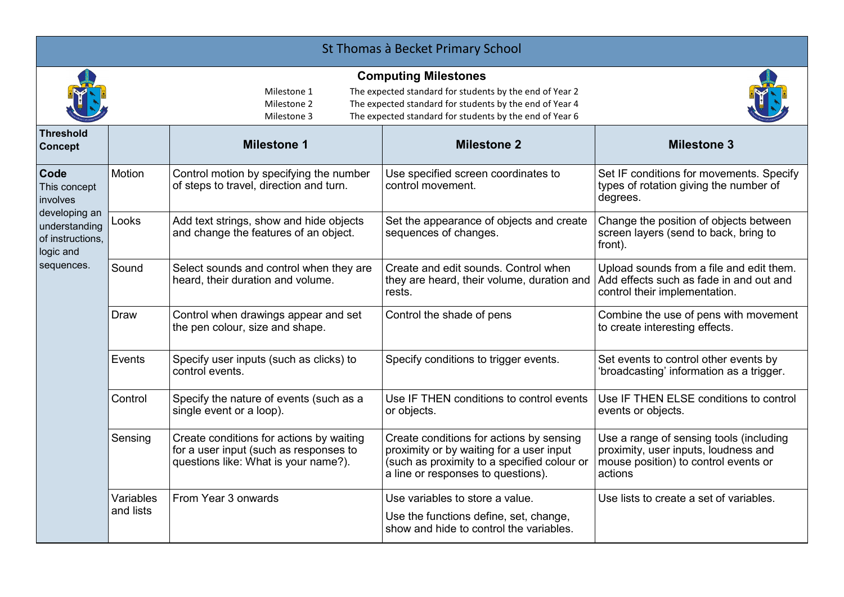| St Thomas à Becket Primary School                                                                                        |                        |                                                                                                                                                                                                                                                           |                                                                                                                                                                           |                                                                                                                                    |  |  |  |
|--------------------------------------------------------------------------------------------------------------------------|------------------------|-----------------------------------------------------------------------------------------------------------------------------------------------------------------------------------------------------------------------------------------------------------|---------------------------------------------------------------------------------------------------------------------------------------------------------------------------|------------------------------------------------------------------------------------------------------------------------------------|--|--|--|
|                                                                                                                          |                        | <b>Computing Milestones</b><br>The expected standard for students by the end of Year 2<br>Milestone 1<br>The expected standard for students by the end of Year 4<br>Milestone 2<br>The expected standard for students by the end of Year 6<br>Milestone 3 |                                                                                                                                                                           |                                                                                                                                    |  |  |  |
| <b>Threshold</b><br><b>Concept</b>                                                                                       |                        | <b>Milestone 1</b>                                                                                                                                                                                                                                        | <b>Milestone 2</b>                                                                                                                                                        | <b>Milestone 3</b>                                                                                                                 |  |  |  |
| <b>Code</b><br>This concept<br>involves<br>developing an<br>understanding<br>of instructions.<br>logic and<br>sequences. | Motion                 | Control motion by specifying the number<br>of steps to travel, direction and turn.                                                                                                                                                                        | Use specified screen coordinates to<br>control movement.                                                                                                                  | Set IF conditions for movements. Specify<br>types of rotation giving the number of<br>degrees.                                     |  |  |  |
|                                                                                                                          | Looks                  | Add text strings, show and hide objects<br>and change the features of an object.                                                                                                                                                                          | Set the appearance of objects and create<br>sequences of changes.                                                                                                         | Change the position of objects between<br>screen layers (send to back, bring to<br>front).                                         |  |  |  |
|                                                                                                                          | Sound                  | Select sounds and control when they are<br>heard, their duration and volume.                                                                                                                                                                              | Create and edit sounds. Control when<br>they are heard, their volume, duration and<br>rests.                                                                              | Upload sounds from a file and edit them.<br>Add effects such as fade in and out and<br>control their implementation.               |  |  |  |
|                                                                                                                          | <b>Draw</b>            | Control when drawings appear and set<br>the pen colour, size and shape.                                                                                                                                                                                   | Control the shade of pens                                                                                                                                                 | Combine the use of pens with movement<br>to create interesting effects.                                                            |  |  |  |
|                                                                                                                          | Events                 | Specify user inputs (such as clicks) to<br>control events.                                                                                                                                                                                                | Specify conditions to trigger events.                                                                                                                                     | Set events to control other events by<br>'broadcasting' information as a trigger.                                                  |  |  |  |
|                                                                                                                          | Control                | Specify the nature of events (such as a<br>single event or a loop).                                                                                                                                                                                       | Use IF THEN conditions to control events<br>or objects.                                                                                                                   | Use IF THEN ELSE conditions to control<br>events or objects.                                                                       |  |  |  |
|                                                                                                                          | Sensing                | Create conditions for actions by waiting<br>for a user input (such as responses to<br>questions like: What is your name?).                                                                                                                                | Create conditions for actions by sensing<br>proximity or by waiting for a user input<br>(such as proximity to a specified colour or<br>a line or responses to questions). | Use a range of sensing tools (including<br>proximity, user inputs, loudness and<br>mouse position) to control events or<br>actions |  |  |  |
|                                                                                                                          | Variables<br>and lists | From Year 3 onwards                                                                                                                                                                                                                                       | Use variables to store a value.<br>Use the functions define, set, change,<br>show and hide to control the variables.                                                      | Use lists to create a set of variables.                                                                                            |  |  |  |